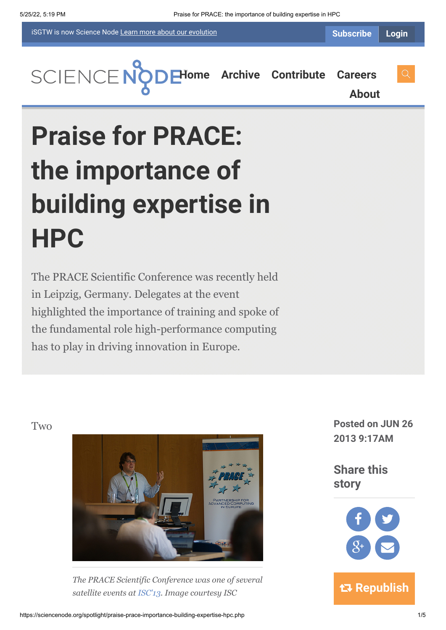iSGTW is now Science Node [Learn more about](https://sciencenode.org/about/index.php#history) our evolution

**[H](https://sciencenode.org/index.php)[ome](https://sciencenode.org/) [Archive](https://sciencenode.org/archive/index.php) [Contribute](https://sciencenode.org/contribute/index.php) [Careers](https://sciencenode.org/careers/index.php)**

**[About](https://sciencenode.org/about/index.php)**

# **Praise for PRACE: the importance of building expertise in HPC**

The PRACE Scientific Conference was recently held in Leipzig, Germany. Delegates at the event highlighted the importance of training and spoke of the fundamental role high-performance computing has to play in driving innovation in Europe.



*The PRACE Scientific Conference was one of several satellite events at [ISC'13](http://www.isc-events.com/isc13/). Image courtesy ISC*

Two **Posted on JUN 26 2013 9:17AM**

> **Share this story**

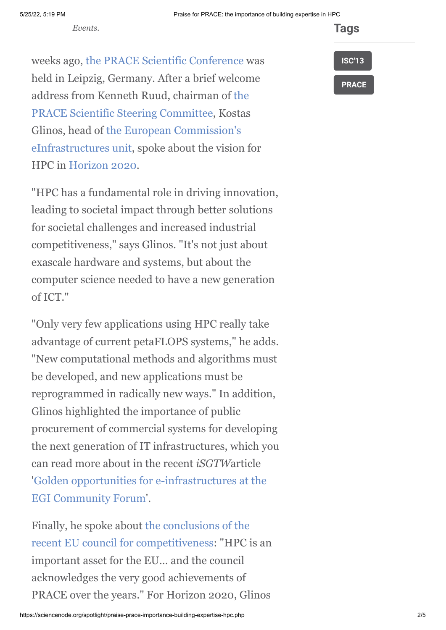*Events.*

**Tags**

weeks ago, [the PRACE Scientific Conference](http://www.prace-ri.eu/PRACE-Scientific-Conference-2013) was held in Leipzig, Germany. After a brief welcome [address from Kenneth Ruud, chairman of the](http://www.prace-ri.eu/Organisation?lang=en) PRACE Scientific Steering Committee, Kostas Glinos, head of the European Commission's [eInfrastructures unit, spoke about the vision](http://cordis.europa.eu/fp7/ict/e-infrastructure/) for HPC in [Horizon 2020](http://ec.europa.eu/research/horizon2020/index_en.cfm).

"HPC has a fundamental role in driving innovation, leading to societal impact through better solutions for societal challenges and increased industrial competitiveness," says Glinos. "It's not just about exascale hardware and systems, but about the computer science needed to have a new generation of ICT."

"Only very few applications using HPC really take advantage of current petaFLOPS systems," he adds. "New computational methods and algorithms must be developed, and new applications must be reprogrammed in radically new ways." In addition, Glinos highlighted the importance of public procurement of commercial systems for developing the next generation of IT infrastructures, which you can read more about in the recent *iSGTW*article ['Golden opportunities for e-infrastructures at the](http://www.isgtw.org/feature/golden-opportunities-e-infrastructures-egi-community-forum) EGI Community Forum'.

Finally, he spoke about the conclusions of the [recent EU council for competitiveness: "HPC i](http://www.consilium.europa.eu/uedocs/cms_data/docs/pressdata/en/intm/137344.pdf)s an important asset for the EU... and the council acknowledges the very good achievements of PRACE over the years." For Horizon 2020, Glinos

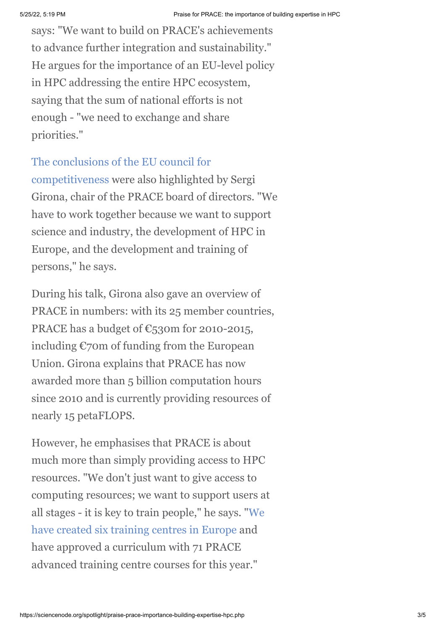says: "We want to build on PRACE's achievements to advance further integration and sustainability." He argues for the importance of an EU-level policy in HPC addressing the entire HPC ecosystem, saying that the sum of national efforts is not enough - "we need to exchange and share priorities."

## [The conclusions of the EU council for](http://www.isgtw.org/announcement/competitiveness-council-recognizes-achievements-prace-eu-hpc)

competitiveness were also highlighted by Sergi Girona, chair of the PRACE board of directors. "We have to work together because we want to support science and industry, the development of HPC in Europe, and the development and training of persons," he says.

During his talk, Girona also gave an overview of PRACE in numbers: with its 25 member countries, PRACE has a budget of  $\mathbb{C}_5$ 30m for 2010-2015, including €70m of funding from the European Union. Girona explains that PRACE has now awarded more than 5 billion computation hours since 2010 and is currently providing resources of nearly 15 petaFLOPS.

However, he emphasises that PRACE is about much more than simply providing access to HPC resources. "We don't just want to give access to computing resources; we want to support users at [all stages - it is key to train people," he says. "We](http://www.prace-project.eu/PRACE-Advanced-Training-Centres) have created six training centres in Europe and have approved a curriculum with 71 PRACE advanced training centre courses for this year."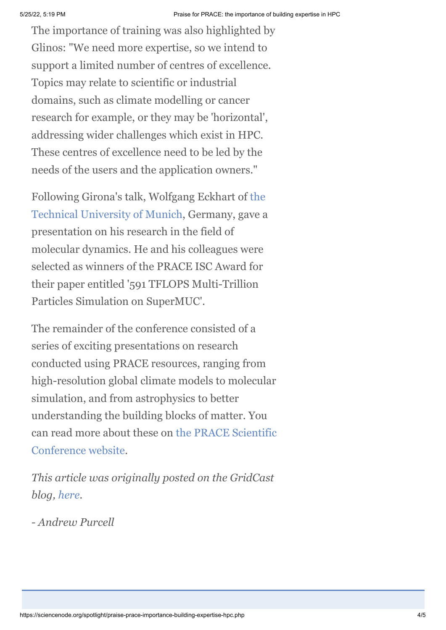The importance of training was also highlighted by Glinos: "We need more expertise, so we intend to support a limited number of centres of excellence. Topics may relate to scientific or industrial domains, such as climate modelling or cancer research for example, or they may be 'horizontal', addressing wider challenges which exist in HPC. These centres of excellence need to be led by the needs of the users and the application owners."

[Following Girona's talk, Wolfgang Eckhart of the](http://www.tum.de/) Technical University of Munich, Germany, gave a presentation on his research in the field of molecular dynamics. He and his colleagues were selected as winners of the PRACE ISC Award for their paper entitled '591 TFLOPS Multi-Trillion Particles Simulation on SuperMUC'.

The remainder of the conference consisted of a series of exciting presentations on research conducted using PRACE resources, ranging from high-resolution global climate models to molecular simulation, and from astrophysics to better understanding the building blocks of matter. You [can read more about these on the PRACE Scientific](http://www.prace-ri.eu/PRACE-Scientific-Conference-2013) Conference website.

*This article was originally posted on the GridCast blog, [here.](http://gridtalk-project.blogspot.fr/2013/06/praise-for-prace-and-importance-of.html)*

*- Andrew Purcell*